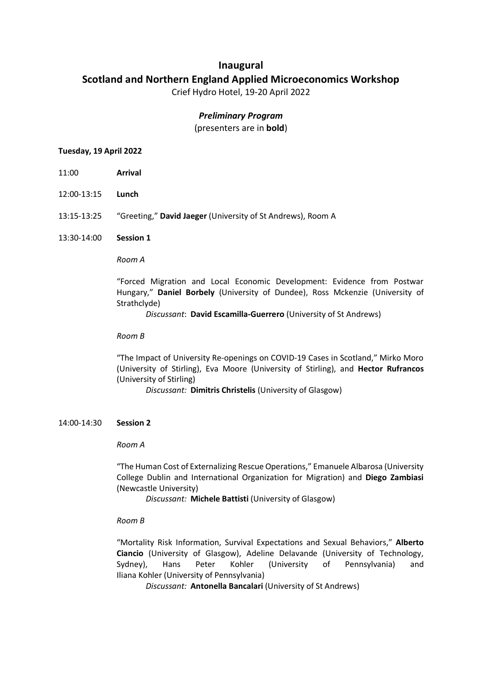# **Inaugural Scotland and Northern England Applied Microeconomics Workshop**

Crief Hydro Hotel, 19-20 April 2022

# *Preliminary Program*

(presenters are in **bold**)

# **Tuesday, 19 April 2022**

- 11:00 **Arrival**
- 12:00-13:15 **Lunch**
- 13:15-13:25 "Greeting," **David Jaeger** (University of St Andrews), Room A
- 13:30-14:00 **Session 1**

*Room A*

"Forced Migration and Local Economic Development: Evidence from Postwar Hungary," **Daniel Borbely** (University of Dundee), Ross Mckenzie (University of Strathclyde)

*Discussant*: **David Escamilla-Guerrero** (University of St Andrews)

#### *Room B*

"The Impact of University Re-openings on COVID-19 Cases in Scotland," Mirko Moro (University of Stirling), Eva Moore (University of Stirling), and **Hector Rufrancos** (University of Stirling)

*Discussant:* **Dimitris Christelis** (University of Glasgow)

#### 14:00-14:30 **Session 2**

*Room A*

"The Human Cost of Externalizing Rescue Operations," Emanuele Albarosa (University College Dublin and International Organization for Migration) and **Diego Zambiasi** (Newcastle University)

*Discussant:* **Michele Battisti** (University of Glasgow)

# *Room B*

"Mortality Risk Information, Survival Expectations and Sexual Behaviors," **Alberto Ciancio** (University of Glasgow), Adeline Delavande (University of Technology, Sydney), Hans Peter Kohler (University of Pennsylvania) and Iliana Kohler (University of Pennsylvania)

*Discussant:* **Antonella Bancalari** (University of St Andrews)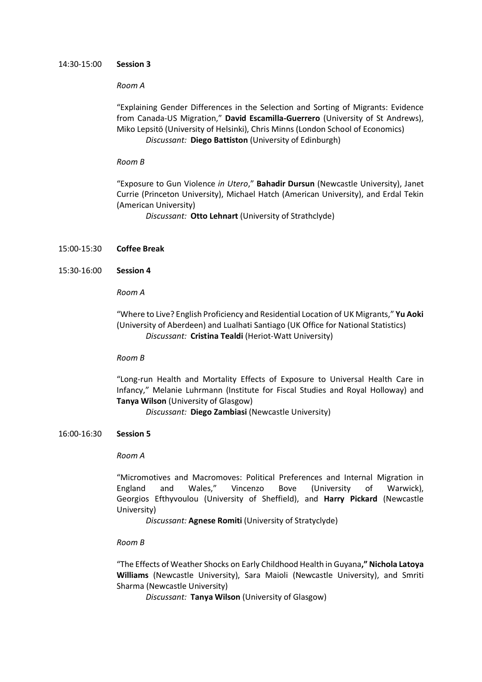#### 14:30-15:00 **Session 3**

#### *Room A*

"Explaining Gender Differences in the Selection and Sorting of Migrants: Evidence from Canada-US Migration," **David Escamilla-Guerrero** (University of St Andrews), Miko Lepsitö (University of Helsinki), Chris Minns (London School of Economics) *Discussant:* **Diego Battiston** (University of Edinburgh)

#### *Room B*

"Exposure to Gun Violence *in Utero*," **Bahadir Dursun** (Newcastle University), Janet Currie (Princeton University), Michael Hatch (American University), and Erdal Tekin (American University)

*Discussant:* **Otto Lehnart** (University of Strathclyde)

#### 15:00-15:30 **Coffee Break**

15:30-16:00 **Session 4**

*Room A*

"Where to Live? English Proficiency and Residential Location of UK Migrants," **Yu Aoki** (University of Aberdeen) and Lualhati Santiago (UK Office for National Statistics) *Discussant:* **Cristina Tealdi** (Heriot-Watt University)

#### *Room B*

"Long-run Health and Mortality Effects of Exposure to Universal Health Care in Infancy," Melanie Luhrmann (Institute for Fiscal Studies and Royal Holloway) and **Tanya Wilson** (University of Glasgow)

*Discussant:* **Diego Zambiasi** (Newcastle University)

#### 16:00-16:30 **Session 5**

#### *Room A*

"Micromotives and Macromoves: Political Preferences and Internal Migration in England and Wales," Vincenzo Bove (University of Warwick), Georgios Efthyvoulou (University of Sheffield), and **Harry Pickard** (Newcastle University)

*Discussant:* **Agnese Romiti** (University of Stratyclyde)

#### *Room B*

"The Effects of Weather Shocks on Early Childhood Health in Guyana**," Nichola Latoya Williams** (Newcastle University), Sara Maioli (Newcastle University), and Smriti Sharma (Newcastle University)

*Discussant:* **Tanya Wilson** (University of Glasgow)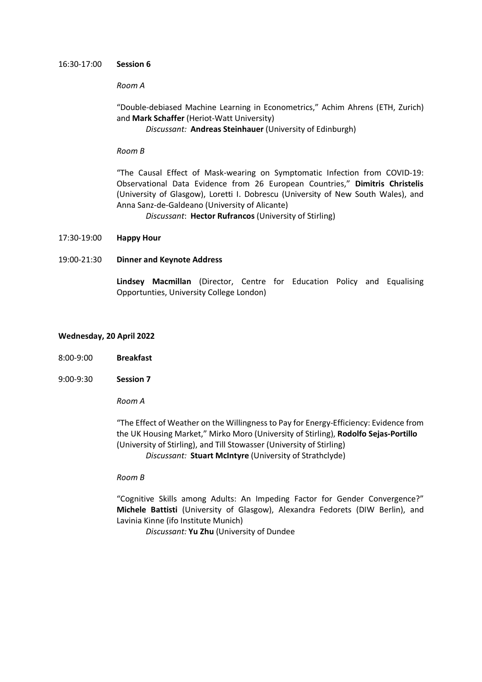#### 16:30-17:00 **Session 6**

### *Room A*

"Double-debiased Machine Learning in Econometrics," Achim Ahrens (ETH, Zurich) and **Mark Schaffer** (Heriot-Watt University)

# *Discussant:* **Andreas Steinhauer** (University of Edinburgh)

### *Room B*

"The Causal Effect of Mask-wearing on Symptomatic Infection from COVID-19: Observational Data Evidence from 26 European Countries," **Dimitris Christelis** (University of Glasgow), Loretti I. Dobrescu (University of New South Wales), and Anna Sanz-de-Galdeano (University of Alicante)

*Discussant*: **Hector Rufrancos** (University of Stirling)

#### 17:30-19:00 **Happy Hour**

# 19:00-21:30 **Dinner and Keynote Address**

**Lindsey Macmillan** (Director, Centre for Education Policy and Equalising Opportunties, University College London)

#### **Wednesday, 20 April 2022**

- 8:00-9:00 **Breakfast**
- 9:00-9:30 **Session 7**

*Room A*

"The Effect of Weather on the Willingness to Pay for Energy-Efficiency: Evidence from the UK Housing Market," Mirko Moro (University of Stirling), **Rodolfo Sejas-Portillo** (University of Stirling), and Till Stowasser (University of Stirling) *Discussant:* **Stuart McIntyre** (University of Strathclyde)

#### *Room B*

"Cognitive Skills among Adults: An Impeding Factor for Gender Convergence?" **Michele Battisti** (University of Glasgow), Alexandra Fedorets (DIW Berlin), and Lavinia Kinne (ifo Institute Munich)

*Discussant:* **Yu Zhu** (University of Dundee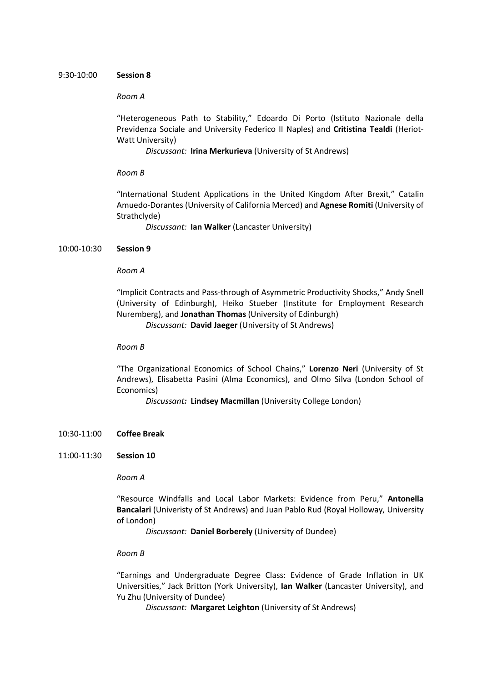#### 9:30-10:00 **Session 8**

#### *Room A*

"Heterogeneous Path to Stability," Edoardo Di Porto (Istituto Nazionale della Previdenza Sociale and University Federico II Naples) and **Critistina Tealdi** (Heriot-Watt University)

*Discussant:* **Irina Merkurieva** (University of St Andrews)

#### *Room B*

"International Student Applications in the United Kingdom After Brexit," Catalin Amuedo-Dorantes (University of California Merced) and **Agnese Romiti** (University of Strathclyde)

*Discussant:* **Ian Walker** (Lancaster University)

#### 10:00-10:30 **Session 9**

### *Room A*

"Implicit Contracts and Pass-through of Asymmetric Productivity Shocks," Andy Snell (University of Edinburgh), Heiko Stueber (Institute for Employment Research Nuremberg), and **Jonathan Thomas** (University of Edinburgh)

*Discussant:* **David Jaeger** (University of St Andrews)

#### *Room B*

"The Organizational Economics of School Chains," **Lorenzo Neri** (University of St Andrews), Elisabetta Pasini (Alma Economics), and Olmo Silva (London School of Economics)

*Discussant:* **Lindsey Macmillan** (University College London)

- 10:30-11:00 **Coffee Break**
- 11:00-11:30 **Session 10**

*Room A*

"Resource Windfalls and Local Labor Markets: Evidence from Peru," **Antonella Bancalari** (Univeristy of St Andrews) and Juan Pablo Rud (Royal Holloway, University of London)

*Discussant:* **Daniel Borberely** (University of Dundee)

#### *Room B*

"Earnings and Undergraduate Degree Class: Evidence of Grade Inflation in UK Universities," Jack Britton (York University), **Ian Walker** (Lancaster University), and Yu Zhu (University of Dundee)

*Discussant:* **Margaret Leighton** (University of St Andrews)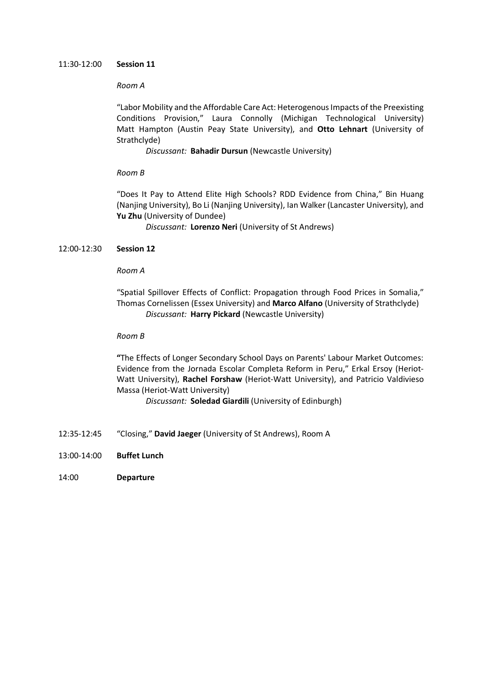### 11:30-12:00 **Session 11**

# *Room A*

"Labor Mobility and the Affordable Care Act: Heterogenous Impacts of the Preexisting Conditions Provision," Laura Connolly (Michigan Technological University) Matt Hampton (Austin Peay State University), and **Otto Lehnart** (University of Strathclyde)

*Discussant:* **Bahadir Dursun** (Newcastle University)

# *Room B*

"Does It Pay to Attend Elite High Schools? RDD Evidence from China," Bin Huang (Nanjing University), Bo Li (Nanjing University), Ian Walker (Lancaster University), and **Yu Zhu** (University of Dundee)

*Discussant:* **Lorenzo Neri** (University of St Andrews)

# 12:00-12:30 **Session 12**

# *Room A*

"Spatial Spillover Effects of Conflict: Propagation through Food Prices in Somalia," Thomas Cornelissen (Essex University) and **Marco Alfano** (University of Strathclyde) *Discussant:* **Harry Pickard** (Newcastle University)

# *Room B*

**"**The Effects of Longer Secondary School Days on Parents' Labour Market Outcomes: Evidence from the Jornada Escolar Completa Reform in Peru," Erkal Ersoy (Heriot-Watt University), **Rachel Forshaw** (Heriot-Watt University), and Patricio Valdivieso Massa (Heriot-Watt University)

*Discussant:* **Soledad Giardili** (University of Edinburgh)

- 12:35-12:45 "Closing," **David Jaeger** (University of St Andrews), Room A
- 13:00-14:00 **Buffet Lunch**
- 14:00 **Departure**